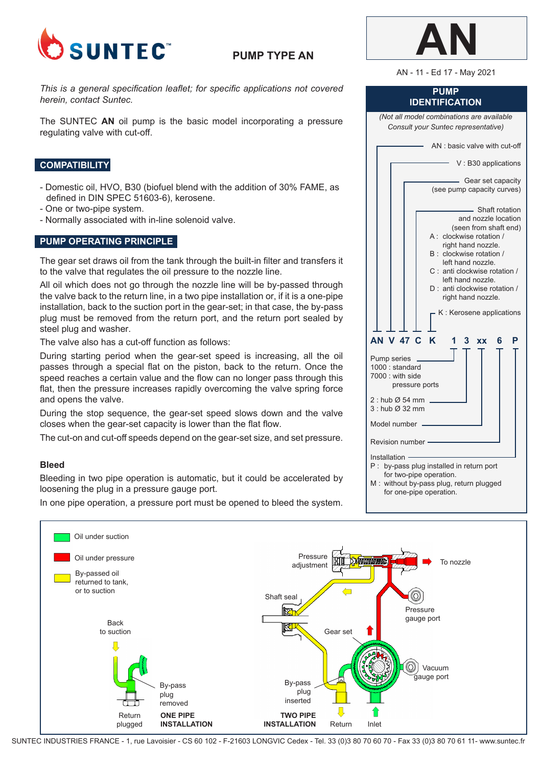

# **PUMP TYPE AN**

*This is a general specification leaflet; for specific applications not covered herein, contact Suntec.*

The SUNTEC **AN** oil pump is the basic model incorporating a pressure regulating valve with cut-off.

## **COMPATIBILITY**

- Domestic oil, HVO, B30 (biofuel blend with the addition of 30% FAME, as defined in DIN SPEC 51603-6), kerosene.
- One or two-pipe system.
- Normally associated with in-line solenoid valve.

## **PUMP OPERATING PRINCIPLE**

The gear set draws oil from the tank through the built-in filter and transfers it to the valve that regulates the oil pressure to the nozzle line.

All oil which does not go through the nozzle line will be by-passed through the valve back to the return line, in a two pipe installation or, if it is a one-pipe installation, back to the suction port in the gear-set; in that case, the by-pass plug must be removed from the return port, and the return port sealed by steel plug and washer.

The valve also has a cut-off function as follows:

During starting period when the gear-set speed is increasing, all the oil passes through a special flat on the piston, back to the return. Once the speed reaches a certain value and the flow can no longer pass through this flat, then the pressure increases rapidly overcoming the valve spring force and opens the valve.

During the stop sequence, the gear-set speed slows down and the valve closes when the gear-set capacity is lower than the flat flow.

The cut-on and cut-off speeds depend on the gear-set size, and set pressure.

#### **Bleed**

Bleeding in two pipe operation is automatic, but it could be accelerated by loosening the plug in a pressure gauge port.

In one pipe operation, a pressure port must be opened to bleed the system.

| <b>PUMP</b><br><b>IDENTIFICATION</b>                                                                                                                                                                                                                                                                      |  |  |  |
|-----------------------------------------------------------------------------------------------------------------------------------------------------------------------------------------------------------------------------------------------------------------------------------------------------------|--|--|--|
| (Not all model combinations are available<br>Consult your Suntec representative)                                                                                                                                                                                                                          |  |  |  |
| AN: basic valve with cut-off                                                                                                                                                                                                                                                                              |  |  |  |
| V: B30 applications                                                                                                                                                                                                                                                                                       |  |  |  |
| - Gear set capacity<br>(see pump capacity curves)                                                                                                                                                                                                                                                         |  |  |  |
| - Shaft rotation<br>and nozzle location<br>(seen from shaft end)<br>A: clockwise rotation /<br>right hand nozzle.<br>B : clockwise rotation /<br>left hand nozzle.<br>C: anti clockwise rotation /<br>left hand nozzle.<br>D: anti clockwise rotation /<br>right hand nozzle.<br>K: Kerosene applications |  |  |  |
| <b>AN V 47 C</b><br><b>K</b><br>P<br>1<br>3.<br><b>XX</b><br>6<br>Pump series _<br>1000: standard<br>7000 : with side<br>pressure ports                                                                                                                                                                   |  |  |  |
| $2:$ hub $\varnothing$ 54 mm<br>3: hub Ø 32 mm                                                                                                                                                                                                                                                            |  |  |  |
| Model number                                                                                                                                                                                                                                                                                              |  |  |  |
| Revision number -                                                                                                                                                                                                                                                                                         |  |  |  |
| Installation -<br>P : by-pass plug installed in return port<br>for two-pipe operation.<br>M: without by-pass plug, return plugged                                                                                                                                                                         |  |  |  |

for one-pipe operation.



SUNTEC INDUSTRIES FRANCE - 1, rue Lavoisier - CS 60 102 - F-21603 LONGVIC Cedex - Tel. 33 (0)3 80 70 60 70 - Fax 33 (0)3 80 70 61 11- www.suntec.fr



AN - 11 - Ed 17 - May 2021